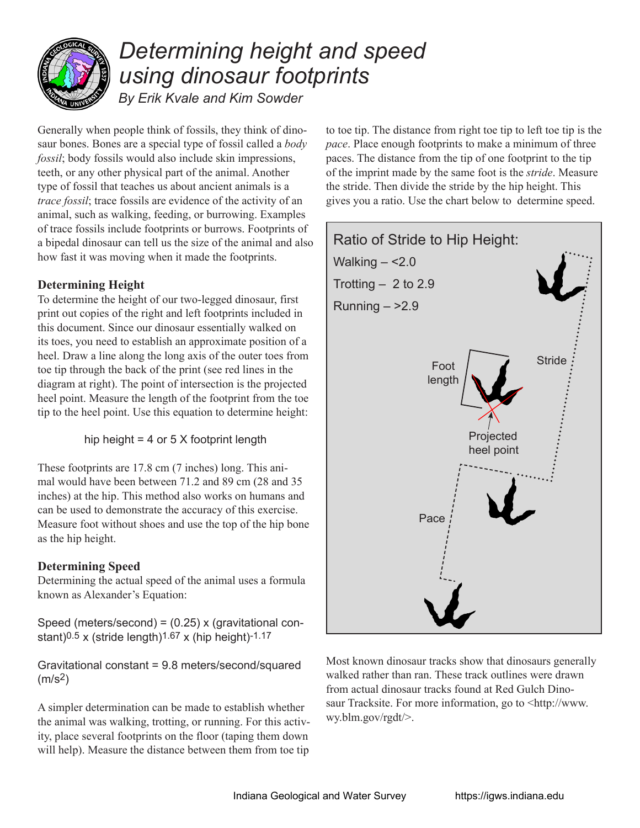

## *Determining height and speed using dinosaur footprints*

*By Erik Kvale and Kim Sowder*

Generally when people think of fossils, they think of dinosaur bones. Bones are a special type of fossil called a *body fossil*; body fossils would also include skin impressions, teeth, or any other physical part of the animal. Another type of fossil that teaches us about ancient animals is a *trace fossil*; trace fossils are evidence of the activity of an animal, such as walking, feeding, or burrowing. Examples of trace fossils include footprints or burrows. Footprints of a bipedal dinosaur can tell us the size of the animal and also how fast it was moving when it made the footprints.

## **Determining Height**

To determine the height of our two-legged dinosaur, first print out copies of the right and left footprints included in this document. Since our dinosaur essentially walked on its toes, you need to establish an approximate position of a heel. Draw a line along the long axis of the outer toes from toe tip through the back of the print (see red lines in the diagram at right). The point of intersection is the projected heel point. Measure the length of the footprint from the toe tip to the heel point. Use this equation to determine height:

hip height  $= 4$  or  $5 \times$  footprint length

These footprints are 17.8 cm (7 inches) long. This animal would have been between 71.2 and 89 cm (28 and 35 inches) at the hip. This method also works on humans and can be used to demonstrate the accuracy of this exercise. Measure foot without shoes and use the top of the hip bone as the hip height.

## **Determining Speed**

Determining the actual speed of the animal uses a formula known as Alexander's Equation:

Speed (meters/second) = (0.25) x (gravitational constant) $0.5$  x (stride length) $1.67$  x (hip height) $-1.17$ 

Gravitational constant = 9.8 meters/second/squared  $(m/s<sup>2</sup>)$ 

A simpler determination can be made to establish whether the animal was walking, trotting, or running. For this activity, place several footprints on the floor (taping them down will help). Measure the distance between them from toe tip

to toe tip. The distance from right toe tip to left toe tip is the *pace*. Place enough footprints to make a minimum of three paces. The distance from the tip of one footprint to the tip of the imprint made by the same foot is the *stride*. Measure the stride. Then divide the stride by the hip height. This gives you a ratio. Use the chart below to determine speed.



Most known dinosaur tracks show that dinosaurs generally walked rather than ran. These track outlines were drawn from actual dinosaur tracks found at Red Gulch Dinosaur Tracksite. For more information, go to <http://www. wy.blm.gov/rgdt/>.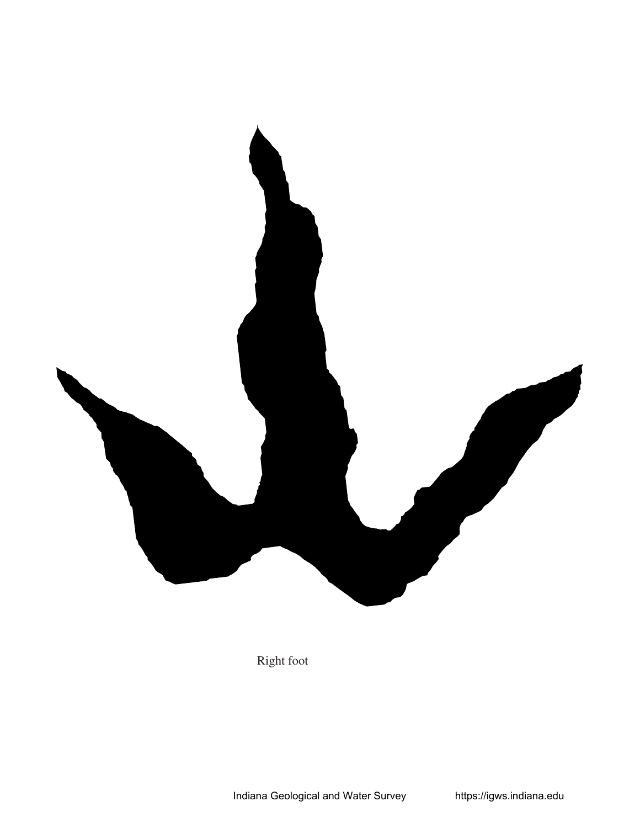

Right foot